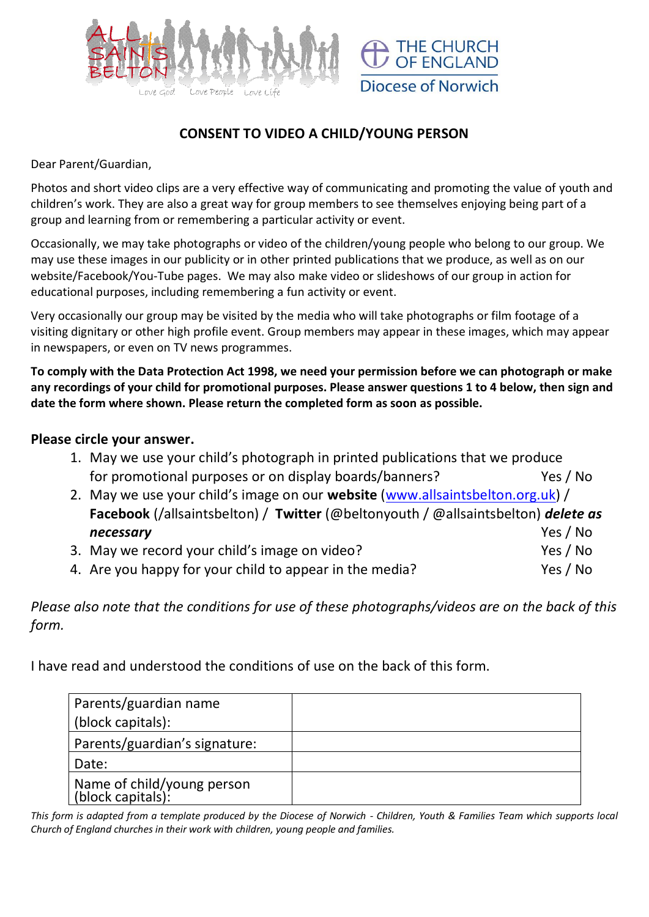

## **CONSENT TO VIDEO A CHILD/YOUNG PERSON**

Dear Parent/Guardian,

Photos and short video clips are a very effective way of communicating and promoting the value of youth and children's work. They are also a great way for group members to see themselves enjoying being part of a group and learning from or remembering a particular activity or event.

Occasionally, we may take photographs or video of the children/young people who belong to our group. We may use these images in our publicity or in other printed publications that we produce, as well as on our website/Facebook/You-Tube pages. We may also make video or slideshows of our group in action for educational purposes, including remembering a fun activity or event.

Very occasionally our group may be visited by the media who will take photographs or film footage of a visiting dignitary or other high profile event. Group members may appear in these images, which may appear in newspapers, or even on TV news programmes.

**To comply with the Data Protection Act 1998, we need your permission before we can photograph or make any recordings of your child for promotional purposes. Please answer questions 1 to 4 below, then sign and date the form where shown. Please return the completed form as soon as possible.**

## **Please circle your answer.**

- 1. May we use your child's photograph in printed publications that we produce for promotional purposes or on display boards/banners? Yes / No
- 2. May we use your child's image on our **website** [\(www.allsaintsbelton.org.uk\)](http://www.allsaintsbelton.org.uk/) / **Facebook** (/allsaintsbelton) / **Twitter** (@beltonyouth / @allsaintsbelton) *delete as necessary* Yes / No
- 3. May we record your child's image on video? The May we record your child's image on video?
- 4. Are you happy for your child to appear in the media? Yes / No

## *Please also note that the conditions for use of these photographs/videos are on the back of this form.*

I have read and understood the conditions of use on the back of this form.

| Parents/guardian name                           |  |
|-------------------------------------------------|--|
| (block capitals):                               |  |
| Parents/guardian's signature:                   |  |
| Date:                                           |  |
| Name of child/young person<br>(block capitals): |  |
|                                                 |  |

*This form is adapted from a template produced by the Diocese of Norwich - Children, Youth & Families Team which supports local Church of England churches in their work with children, young people and families.*